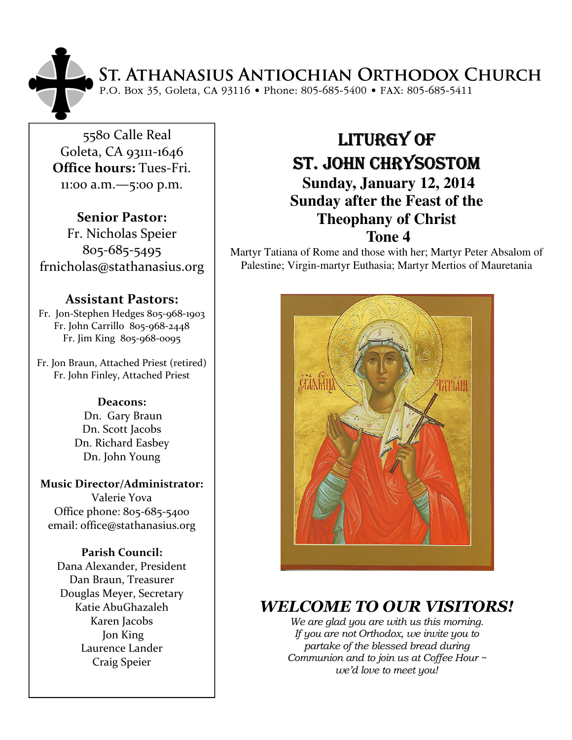# ST. ATHANASIUS ANTIOCHIAN ORTHODOX CHURCH<br>P.O. Box 35, Goleta, CA 93116 • Phone: 805-685-5400 • FAX: 805-685-5411

5580 Calle Real Goleta, CA 93111-1646 Office hours: Tues-Fri. 11:00 a.m.—5:00 p.m.

Senior Pastor: Fr. Nicholas Speier 805-685-5495 frnicholas@stathanasius.org

#### Assistant Pastors:

Fr. Jon-Stephen Hedges 805-968-1903 Fr. John Carrillo 805-968-2448 Fr. Jim King 805-968-0095

Fr. Jon Braun, Attached Priest (retired) Fr. John Finley, Attached Priest

#### Deacons:

 Dn. Gary Braun Dn. Scott Jacobs Dn. Richard Easbey Dn. John Young

Music Director/Administrator: Valerie Yova Office phone: 805-685-5400 email: office@stathanasius.org

#### Parish Council:

Dana Alexander, President Dan Braun, Treasurer Douglas Meyer, Secretary Katie AbuGhazaleh Karen Jacobs Jon King Laurence Lander Craig Speier

# LITURGY OF ST. JOHN CHRYSOSTOM  **Sunday, January 12, 2014 Sunday after the Feast of the Theophany of Christ**

## **Tone 4**

Martyr Tatiana of Rome and those with her; Martyr Peter Absalom of Palestine; Virgin-martyr Euthasia; Martyr Mertios of Mauretania



# WELCOME TO OUR VISITORS!

We are glad you are with us this morning. If you are not Orthodox, we invite you to partake of the blessed bread during Communion and to join us at Coffee Hour ~ we'd love to meet you!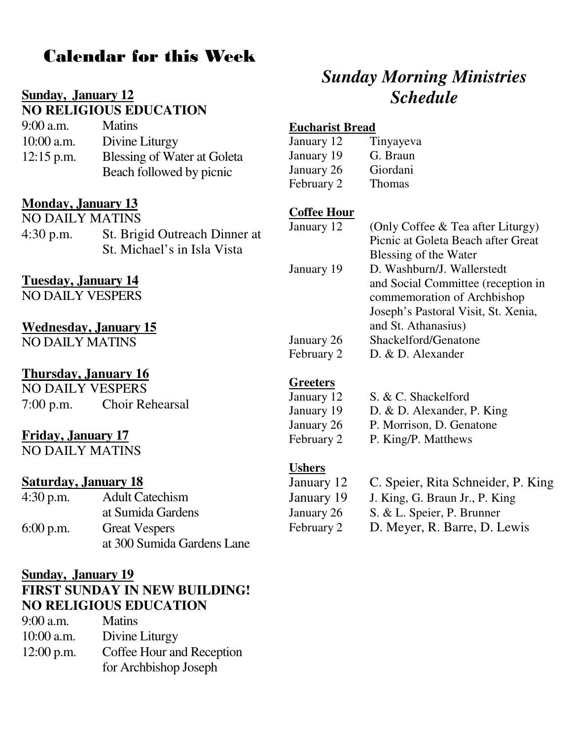# Calendar for this Week

#### **Sunday, January 12 NO RELIGIOUS EDUCATION**

| $9:00$ a.m.  | <b>Matins</b>               |
|--------------|-----------------------------|
| $10:00$ a.m. | Divine Liturgy              |
| $12:15$ p.m. | Blessing of Water at Goleta |
|              | Beach followed by picnic    |

#### **Monday, January 13**

NO DAILY MATINS 4:30 p.m. St. Brigid Outreach Dinner at St. Michael's in Isla Vista

## **Tuesday, January 14**

NO DAILY VESPERS

#### **Wednesday, January 15**

NO DAILY MATINS

# **Thursday, January 16**

NO DAILY VESPERS 7:00 p.m. Choir Rehearsal

## **Friday, January 17**

NO DAILY MATINS

#### **Saturday, January 18**

| $4:30$ p.m. | <b>Adult Catechism</b>     |  |
|-------------|----------------------------|--|
|             | at Sumida Gardens          |  |
| $6:00$ p.m. | <b>Great Vespers</b>       |  |
|             | at 300 Sumida Gardens Lane |  |

#### **Sunday, January 19**

# **FIRST SUNDAY IN NEW BUILDING! NO RELIGIOUS EDUCATION**

| $9:00$ a.m.  | <b>Matins</b>             |
|--------------|---------------------------|
| $10:00$ a.m. | Divine Liturgy            |
| $12:00$ p.m. | Coffee Hour and Reception |
|              | for Archbishop Joseph     |

# *Sunday Morning Ministries Schedule*

#### **Eucharist Bread**

| January 12 | Tinyayeva     |
|------------|---------------|
| January 19 | G. Braun      |
| January 26 | Giordani      |
| February 2 | <b>Thomas</b> |

#### **Coffee Hour**

| January 12 | (Only Coffee & Tea after Liturgy)   |
|------------|-------------------------------------|
|            | Picnic at Goleta Beach after Great  |
|            | Blessing of the Water               |
| January 19 | D. Washburn/J. Wallerstedt          |
|            | and Social Committee (reception in  |
|            | commemoration of Archbishop         |
|            | Joseph's Pastoral Visit, St. Xenia, |
|            | and St. Athanasius)                 |
| January 26 | Shackelford/Genatone                |
| February 2 | D. & D. Alexander                   |
|            |                                     |

#### **Greeters**

| January 12 | S. & C. Shackelford        |
|------------|----------------------------|
| January 19 | D. & D. Alexander, P. King |
| January 26 | P. Morrison, D. Genatone   |
| February 2 | P. King/P. Matthews        |

#### **Ushers**

| January 12 | C. Speier, Rita Schneider, P. King |
|------------|------------------------------------|
| January 19 | J. King, G. Braun Jr., P. King     |
| January 26 | S. & L. Speier, P. Brunner         |
| February 2 | D. Meyer, R. Barre, D. Lewis       |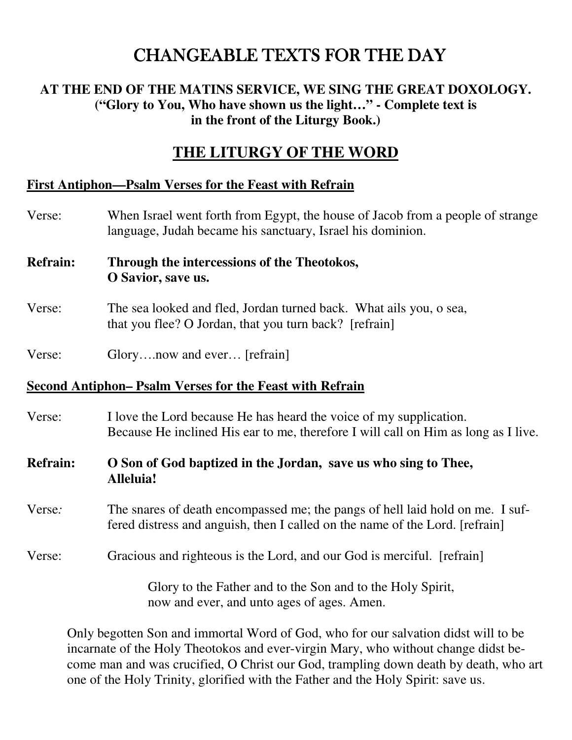# CHANGEABLE TEXTS FOR THE DAY

## **AT THE END OF THE MATINS SERVICE, WE SING THE GREAT DOXOLOGY. ("Glory to You, Who have shown us the light…" - Complete text is in the front of the Liturgy Book.)**

# **THE LITURGY OF THE WORD**

#### **First Antiphon—Psalm Verses for the Feast with Refrain**

- Verse: When Israel went forth from Egypt, the house of Jacob from a people of strange language, Judah became his sanctuary, Israel his dominion.
- **Refrain: Through the intercessions of the Theotokos, O Savior, save us.**
- Verse: The sea looked and fled, Jordan turned back. What ails you, o sea, that you flee? O Jordan, that you turn back? [refrain]
- Verse: Glory....now and ever... [refrain]

#### **Second Antiphon– Psalm Verses for the Feast with Refrain**

- Verse: I love the Lord because He has heard the voice of my supplication. Because He inclined His ear to me, therefore I will call on Him as long as I live.
- **Refrain: O Son of God baptized in the Jordan, save us who sing to Thee, Alleluia!**
- Verse*:* The snares of death encompassed me; the pangs of hell laid hold on me. I suffered distress and anguish, then I called on the name of the Lord. [refrain]
- Verse: Gracious and righteous is the Lord, and our God is merciful. [refrain]

Glory to the Father and to the Son and to the Holy Spirit, now and ever, and unto ages of ages. Amen.

Only begotten Son and immortal Word of God, who for our salvation didst will to be incarnate of the Holy Theotokos and ever-virgin Mary, who without change didst become man and was crucified, O Christ our God, trampling down death by death, who art one of the Holy Trinity, glorified with the Father and the Holy Spirit: save us.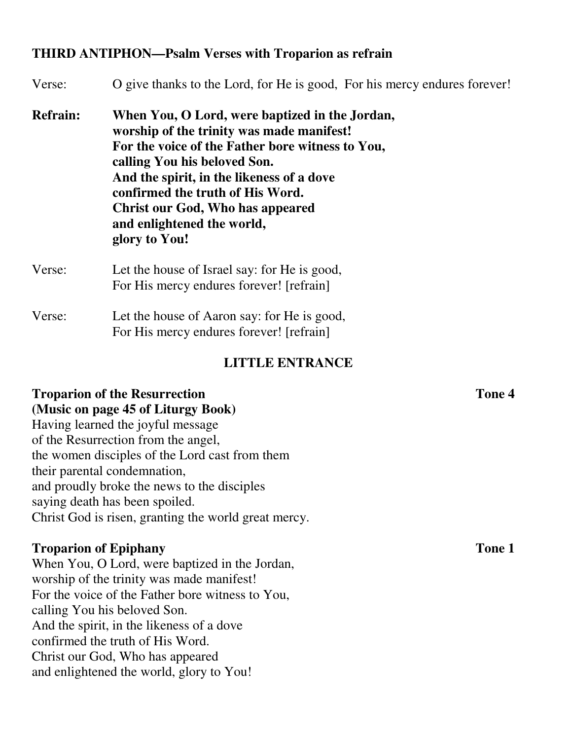#### **THIRD ANTIPHON—Psalm Verses with Troparion as refrain**

| Verse:          | O give thanks to the Lord, for He is good. For his mercy endures forever!                                                                                                                                                                                                                                                                                  |
|-----------------|------------------------------------------------------------------------------------------------------------------------------------------------------------------------------------------------------------------------------------------------------------------------------------------------------------------------------------------------------------|
| <b>Refrain:</b> | When You, O Lord, were baptized in the Jordan,<br>worship of the trinity was made manifest!<br>For the voice of the Father bore witness to You,<br>calling You his beloved Son.<br>And the spirit, in the likeness of a dove<br>confirmed the truth of His Word.<br><b>Christ our God, Who has appeared</b><br>and enlightened the world,<br>glory to You! |
| Verse:          | Let the house of Israel say: for He is good,<br>For His mercy endures forever! [refrain]                                                                                                                                                                                                                                                                   |
| Verse:          | Let the house of Aaron say: for He is good,<br>For His mercy endures forever! [refrain]                                                                                                                                                                                                                                                                    |

#### **LITTLE ENTRANCE**

## **Troparion of the Resurrection Tone 4 (Music on page 45 of Liturgy Book)**

Having learned the joyful message of the Resurrection from the angel, the women disciples of the Lord cast from them their parental condemnation, and proudly broke the news to the disciples saying death has been spoiled. Christ God is risen, granting the world great mercy.

#### **Troparion of Epiphany Tone 1**

When You, O Lord, were baptized in the Jordan, worship of the trinity was made manifest! For the voice of the Father bore witness to You, calling You his beloved Son. And the spirit, in the likeness of a dove confirmed the truth of His Word. Christ our God, Who has appeared and enlightened the world, glory to You!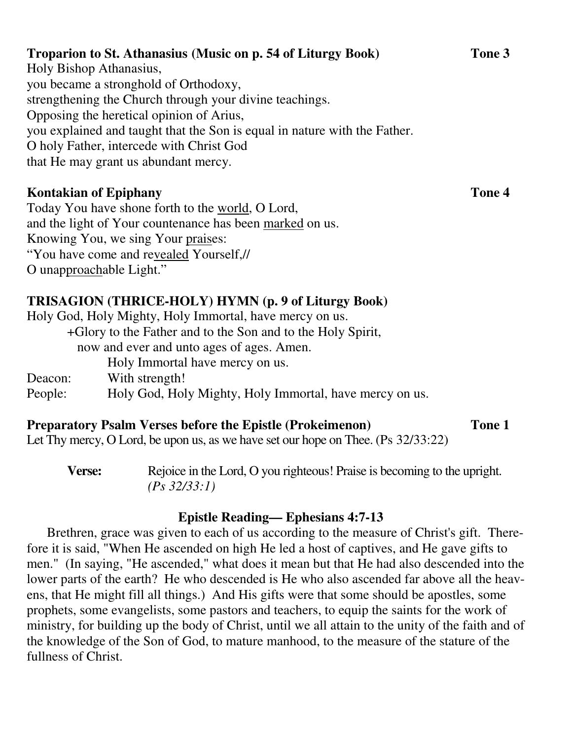## **Troparion to St. Athanasius (Music on p. 54 of Liturgy Book) Tone 3**  Holy Bishop Athanasius, you became a stronghold of Orthodoxy, strengthening the Church through your divine teachings. Opposing the heretical opinion of Arius, you explained and taught that the Son is equal in nature with the Father. O holy Father, intercede with Christ God

that He may grant us abundant mercy.

# **Kontakian of Epiphany Tone 4**

Today You have shone forth to the world, O Lord, and the light of Your countenance has been marked on us. Knowing You, we sing Your praises: "You have come and revealed Yourself,// O unapproachable Light."

# **TRISAGION (THRICE-HOLY) HYMN (p. 9 of Liturgy Book)**

|                                                             | Holy God, Holy Mighty, Holy Immortal, have mercy on us. |  |
|-------------------------------------------------------------|---------------------------------------------------------|--|
| +Glory to the Father and to the Son and to the Holy Spirit, |                                                         |  |
|                                                             | now and ever and unto ages of ages. Amen.               |  |
|                                                             | Holy Immortal have mercy on us.                         |  |
| Deacon:                                                     | With strength!                                          |  |
| People:                                                     | Holy God, Holy Mighty, Holy Immortal, have mercy on us. |  |

## **Preparatory Psalm Verses before the Epistle (Prokeimenon) Tone 1**

Let Thy mercy, O Lord, be upon us, as we have set our hope on Thee. (Ps 32/33:22)

**Verse:** Rejoice in the Lord, O you righteous! Praise is becoming to the upright. *(Ps 32/33:1)* 

#### **Epistle Reading— Ephesians 4:7-13**

Brethren, grace was given to each of us according to the measure of Christ's gift. Therefore it is said, "When He ascended on high He led a host of captives, and He gave gifts to men." (In saying, "He ascended," what does it mean but that He had also descended into the lower parts of the earth? He who descended is He who also ascended far above all the heavens, that He might fill all things.) And His gifts were that some should be apostles, some prophets, some evangelists, some pastors and teachers, to equip the saints for the work of ministry, for building up the body of Christ, until we all attain to the unity of the faith and of the knowledge of the Son of God, to mature manhood, to the measure of the stature of the fullness of Christ.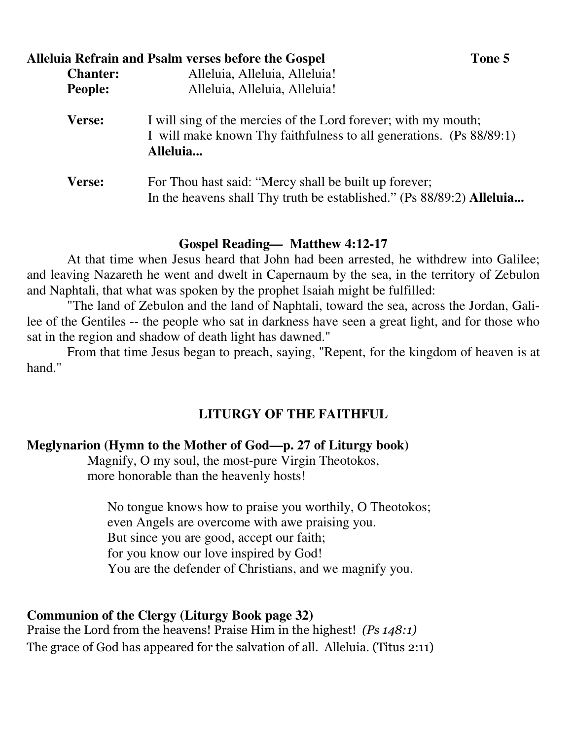| Alleluia Refrain and Psalm verses before the Gospel<br>Tone 5 |                                                                                                                                                   |  |
|---------------------------------------------------------------|---------------------------------------------------------------------------------------------------------------------------------------------------|--|
| <b>Chanter:</b>                                               | Alleluia, Alleluia, Alleluia!                                                                                                                     |  |
| <b>People:</b>                                                | Alleluia, Alleluia, Alleluia!                                                                                                                     |  |
| Verse:                                                        | I will sing of the mercies of the Lord forever; with my mouth;<br>I will make known Thy faithfulness to all generations. (Ps 88/89:1)<br>Alleluia |  |
| Verse:                                                        | For Thou hast said: "Mercy shall be built up forever;<br>In the heavens shall Thy truth be established." (Ps 88/89:2) Alleluia                    |  |

#### **Gospel Reading***—* **Matthew 4:12-17**

At that time when Jesus heard that John had been arrested, he withdrew into Galilee; and leaving Nazareth he went and dwelt in Capernaum by the sea, in the territory of Zebulon and Naphtali, that what was spoken by the prophet Isaiah might be fulfilled:

"The land of Zebulon and the land of Naphtali, toward the sea, across the Jordan, Galilee of the Gentiles -- the people who sat in darkness have seen a great light, and for those who sat in the region and shadow of death light has dawned."

From that time Jesus began to preach, saying, "Repent, for the kingdom of heaven is at hand<sup>"</sup>

## **LITURGY OF THE FAITHFUL**

#### **Meglynarion (Hymn to the Mother of God—p. 27 of Liturgy book)**

Magnify, O my soul, the most-pure Virgin Theotokos, more honorable than the heavenly hosts!

No tongue knows how to praise you worthily, O Theotokos; even Angels are overcome with awe praising you. But since you are good, accept our faith; for you know our love inspired by God! You are the defender of Christians, and we magnify you.

#### **Communion of the Clergy (Liturgy Book page 32)**

Praise the Lord from the heavens! Praise Him in the highest! (Ps 148:1) The grace of God has appeared for the salvation of all. Alleluia. (Titus 2:11)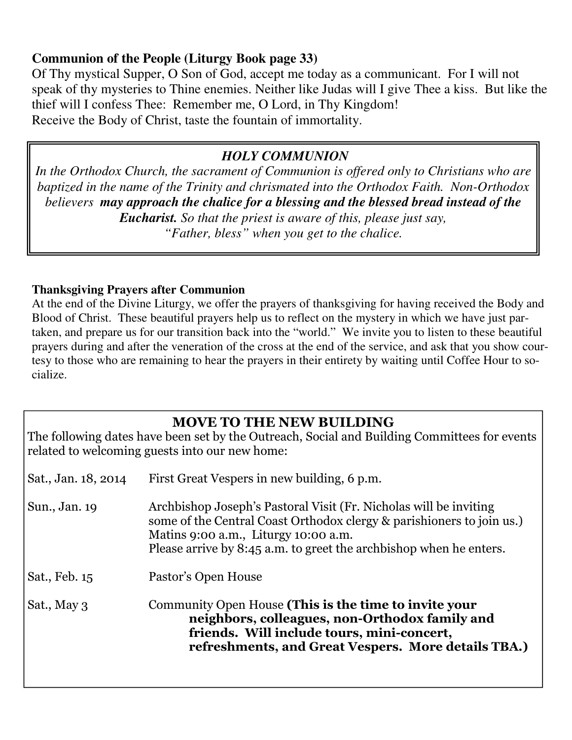## **Communion of the People (Liturgy Book page 33)**

Of Thy mystical Supper, O Son of God, accept me today as a communicant. For I will not speak of thy mysteries to Thine enemies. Neither like Judas will I give Thee a kiss. But like the thief will I confess Thee: Remember me, O Lord, in Thy Kingdom! Receive the Body of Christ, taste the fountain of immortality.

# *HOLY COMMUNION*

*In the Orthodox Church, the sacrament of Communion is offered only to Christians who are baptized in the name of the Trinity and chrismated into the Orthodox Faith. Non-Orthodox believers may approach the chalice for a blessing and the blessed bread instead of the Eucharist. So that the priest is aware of this, please just say,* 

*"Father, bless" when you get to the chalice.* 

#### **Thanksgiving Prayers after Communion**

At the end of the Divine Liturgy, we offer the prayers of thanksgiving for having received the Body and Blood of Christ. These beautiful prayers help us to reflect on the mystery in which we have just partaken, and prepare us for our transition back into the "world." We invite you to listen to these beautiful prayers during and after the veneration of the cross at the end of the service, and ask that you show courtesy to those who are remaining to hear the prayers in their entirety by waiting until Coffee Hour to socialize.

# MOVE TO THE NEW BUILDING

The following dates have been set by the Outreach, Social and Building Committees for events related to welcoming guests into our new home:

| Sat., Jan. 18, 2014 | First Great Vespers in new building, 6 p.m.                                                                                                                                                                                                              |  |
|---------------------|----------------------------------------------------------------------------------------------------------------------------------------------------------------------------------------------------------------------------------------------------------|--|
| Sun., Jan. 19       | Archbishop Joseph's Pastoral Visit (Fr. Nicholas will be inviting<br>some of the Central Coast Orthodox clergy & parishioners to join us.)<br>Matins 9:00 a.m., Liturgy 10:00 a.m.<br>Please arrive by 8:45 a.m. to greet the archbishop when he enters. |  |
| Sat., Feb. 15       | Pastor's Open House                                                                                                                                                                                                                                      |  |
| Sat., May 3         | Community Open House (This is the time to invite your<br>neighbors, colleagues, non-Orthodox family and<br>friends. Will include tours, mini-concert,<br>refreshments, and Great Vespers. More details TBA.)                                             |  |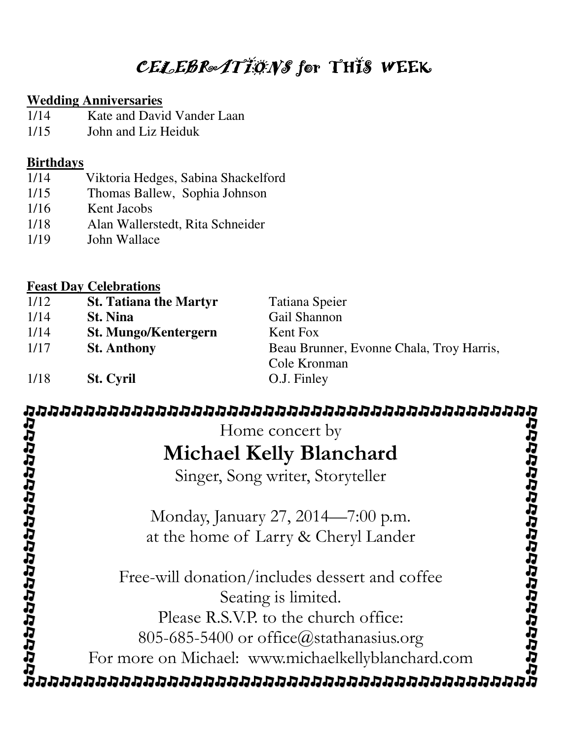# $CELEB$ Re $ATI$ *ONS* for THIS WEEK

#### **Wedding Anniversaries**

- 1/14 Kate and David Vander Laan
- 1/15 John and Liz Heiduk

#### **Birthdays**

- 1/14 Viktoria Hedges, Sabina Shackelford
- 1/15 Thomas Ballew, Sophia Johnson
- 1/16 Kent Jacobs
- 1/18 Alan Wallerstedt, Rita Schneider
- 1/19 John Wallace

## **Feast Day Celebrations**

| 1/12 | <b>St. Tatiana the Martyr</b> | Tatiana Speier                           |
|------|-------------------------------|------------------------------------------|
| 1/14 | <b>St. Nina</b>               | Gail Shannon                             |
| 1/14 | <b>St. Mungo/Kentergern</b>   | Kent Fox                                 |
| 1/17 | <b>St. Anthony</b>            | Beau Brunner, Evonne Chala, Troy Harris, |
|      |                               | Cole Kronman                             |
| 1/18 | <b>St. Cyril</b>              | O.J. Finley                              |

# Home concert by Michael Kelly Blanchard Singer, Song writer, Storyteller Monday, January 27, 2014—7:00 p.m. at the home of Larry & Cheryl Lander Free-will donation/includes dessert and coffee Seating is limited. Please R.S.V.P. to the church office: 805-685-5400 or office@stathanasius.org For more on Michael: www.michaelkellyblanchard.com

מממממממממממממממממממממממממממממממ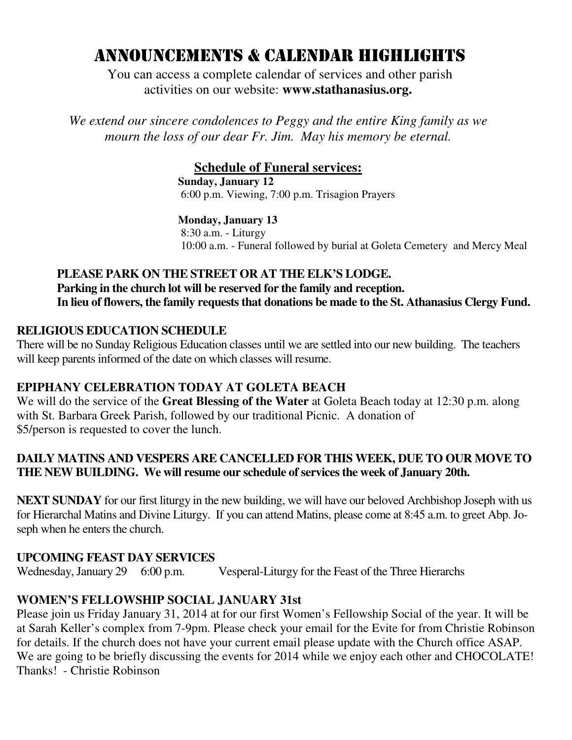# ANNOUNCEMENTS & CALENDAR HIGHLIGHTS

 You can access a complete calendar of services and other parish activities on our website: **www.stathanasius.org.** 

*We extend our sincere condolences to Peggy and the entire King family as we mourn the loss of our dear Fr. Jim. May his memory be eternal.* 

#### **Schedule of Funeral services:**

**Sunday, January 12**  6:00 p.m. Viewing, 7:00 p.m. Trisagion Prayers

**Monday, January 13** 

 8:30 a.m. - Liturgy 10:00 a.m. - Funeral followed by burial at Goleta Cemetery and Mercy Meal

#### **PLEASE PARK ON THE STREET OR AT THE ELK'S LODGE. Parking in the church lot will be reserved for the family and reception. In lieu of flowers, the family requests that donations be made to the St. Athanasius Clergy Fund.**

#### **RELIGIOUS EDUCATION SCHEDULE**

There will be no Sunday Religious Education classes until we are settled into our new building. The teachers will keep parents informed of the date on which classes will resume.

#### **EPIPHANY CELEBRATION TODAY AT GOLETA BEACH**

We will do the service of the **Great Blessing of the Water** at Goleta Beach today at 12:30 p.m. along with St. Barbara Greek Parish, followed by our traditional Picnic. A donation of \$5/person is requested to cover the lunch.

#### **DAILY MATINS AND VESPERS ARE CANCELLED FOR THIS WEEK, DUE TO OUR MOVE TO THE NEW BUILDING. We will resume our schedule of services the week of January 20th.**

**NEXT SUNDAY** for our first liturgy in the new building, we will have our beloved Archbishop Joseph with us for Hierarchal Matins and Divine Liturgy. If you can attend Matins, please come at 8:45 a.m. to greet Abp. Joseph when he enters the church.

#### **UPCOMING FEAST DAY SERVICES**

Wednesday, January 29 6:00 p.m. Vesperal-Liturgy for the Feast of the Three Hierarchs

#### **WOMEN'S FELLOWSHIP SOCIAL JANUARY 31st**

Please join us Friday January 31, 2014 at for our first Women's Fellowship Social of the year. It will be at Sarah Keller's complex from 7-9pm. Please check your email for the Evite for from Christie Robinson for details. If the church does not have your current email please update with the Church office ASAP. We are going to be briefly discussing the events for 2014 while we enjoy each other and CHOCOLATE! Thanks! - Christie Robinson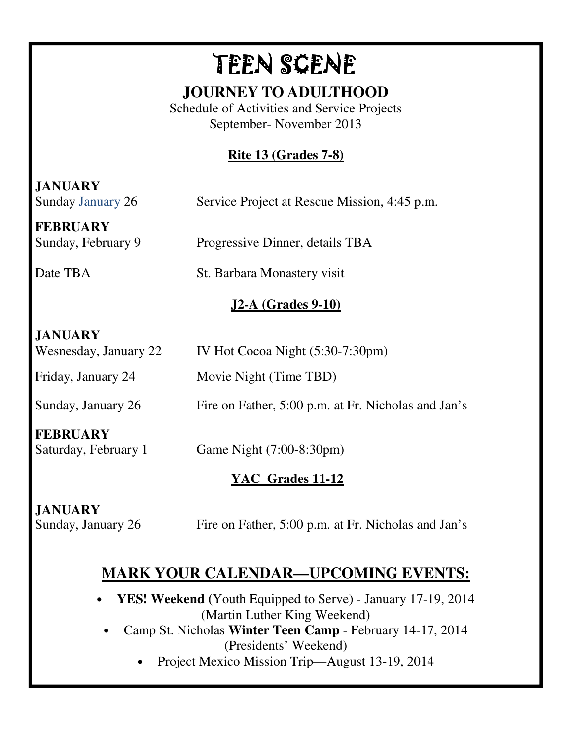# TEEN SCENE

# **JOURNEY TO ADULTHOOD**

Schedule of Activities and Service Projects September- November 2013

# **Rite 13 (Grades 7-8)**

**JANUARY**  Sunday January 26 Service Project at Rescue Mission, 4:45 p.m. **FEBRUARY**  Sunday, February 9 Progressive Dinner, details TBA Date TBA St. Barbara Monastery visit **J2-A (Grades 9-10) JANUARY** Wesnesday, January 22 IV Hot Cocoa Night (5:30-7:30pm) Friday, January 24 Movie Night (Time TBD) Sunday, January 26 Fire on Father, 5:00 p.m. at Fr. Nicholas and Jan's **FEBRUARY** Saturday, February 1 Game Night (7:00-8:30pm) **YAC Grades 11-12 JANUARY** Sunday, January 26 Fire on Father, 5:00 p.m. at Fr. Nicholas and Jan's

# **MARK YOUR CALENDAR—UPCOMING EVENTS:**

- **YES! Weekend (**Youth Equipped to Serve) January 17-19, 2014 (Martin Luther King Weekend)
	- Camp St. Nicholas **Winter Teen Camp**  February 14-17, 2014 (Presidents' Weekend)
		- Project Mexico Mission Trip—August 13-19, 2014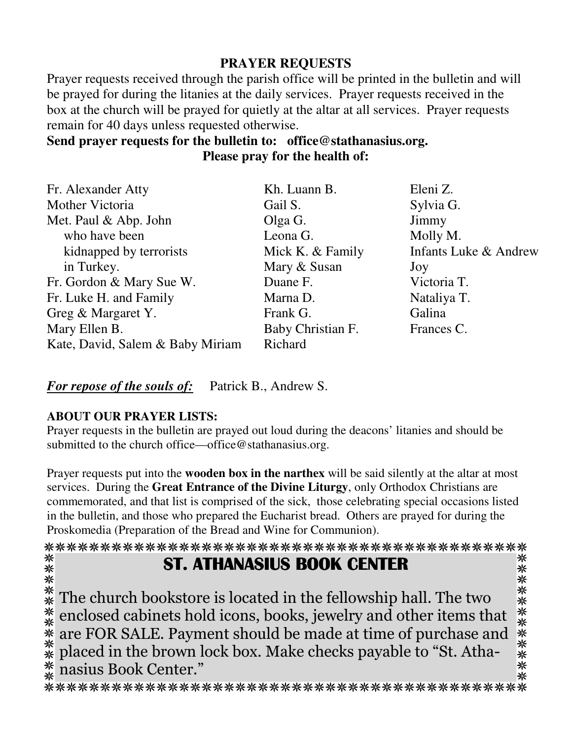# **PRAYER REQUESTS**

Prayer requests received through the parish office will be printed in the bulletin and will be prayed for during the litanies at the daily services. Prayer requests received in the box at the church will be prayed for quietly at the altar at all services. Prayer requests remain for 40 days unless requested otherwise.

## **Send prayer requests for the bulletin to: office@stathanasius.org. Please pray for the health of:**

| Fr. Alexander Atty               | Kh. Luann B.      | Eleni Z.              |
|----------------------------------|-------------------|-----------------------|
| Mother Victoria                  | Gail S.           | Sylvia G.             |
| Met. Paul & Abp. John            | Olga G.           | Jimmy                 |
| who have been                    | Leona G.          | Molly M.              |
| kidnapped by terrorists          | Mick K. & Family  | Infants Luke & Andrew |
| in Turkey.                       | Mary & Susan      | Joy                   |
| Fr. Gordon & Mary Sue W.         | Duane F.          | Victoria T.           |
| Fr. Luke H. and Family           | Marna D.          | Nataliya T.           |
| Greg & Margaret Y.               | Frank G.          | Galina                |
| Mary Ellen B.                    | Baby Christian F. | Frances C.            |
| Kate, David, Salem & Baby Miriam | Richard           |                       |

*For repose of the souls of:* Patrick B., Andrew S.

#### **ABOUT OUR PRAYER LISTS:**

Prayer requests in the bulletin are prayed out loud during the deacons' litanies and should be submitted to the church office—office@stathanasius.org.

Prayer requests put into the **wooden box in the narthex** will be said silently at the altar at most services. During the **Great Entrance of the Divine Liturgy**, only Orthodox Christians are commemorated, and that list is comprised of the sick, those celebrating special occasions listed in the bulletin, and those who prepared the Eucharist bread. Others are prayed for during the Proskomedia (Preparation of the Bread and Wine for Communion).

#### ST. ATHANASIUS BOOK CENTER

⋇

米米米米米米米米米米 \*\*\*\*\*\*\*\*\*\*\*\* The church bookstore is located in the fellowship hall. The two enclosed cabinets hold icons, books, jewelry and other items that are FOR SALE. Payment should be made at time of purchase and placed in the brown lock box. Make checks payable to "St. Atha-☀ nasius Book Center." ⋇